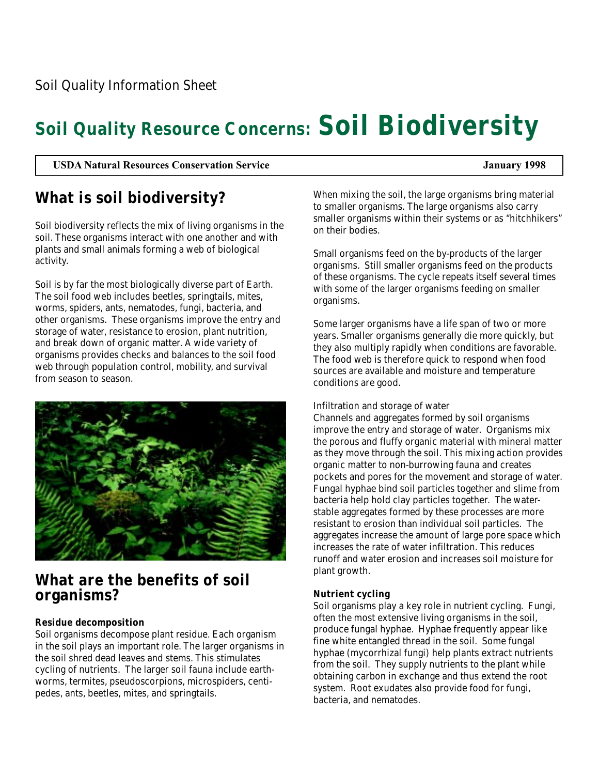# **Soil Quality Resource Concerns: Soil Biodiversity**

**USDA Natural Resources Conservation Service January 1998**

# **What is soil biodiversity?**

Soil biodiversity reflects the mix of living organisms in the soil. These organisms interact with one another and with plants and small animals forming a web of biological activity.

Soil is by far the most biologically diverse part of Earth. The soil food web includes beetles, springtails, mites, worms, spiders, ants, nematodes, fungi, bacteria, and other organisms. These organisms improve the entry and storage of water, resistance to erosion, plant nutrition, and break down of organic matter. A wide variety of organisms provides checks and balances to the soil food web through population control, mobility, and survival from season to season.



## **What are the benefits of soil organisms?**

### **Residue decomposition**

Soil organisms decompose plant residue. Each organism in the soil plays an important role. The larger organisms in the soil shred dead leaves and stems. This stimulates cycling of nutrients. The larger soil fauna include earthworms, termites, pseudoscorpions, microspiders, centipedes, ants, beetles, mites, and springtails.

When mixing the soil, the large organisms bring material to smaller organisms. The large organisms also carry smaller organisms within their systems or as "hitchhikers" on their bodies.

Small organisms feed on the by-products of the larger organisms. Still smaller organisms feed on the products of these organisms. The cycle repeats itself several times with some of the larger organisms feeding on smaller organisms.

Some larger organisms have a life span of two or more years. Smaller organisms generally die more quickly, but they also multiply rapidly when conditions are favorable. The food web is therefore quick to respond when food sources are available and moisture and temperature conditions are good.

### Infiltration and storage of water

Channels and aggregates formed by soil organisms improve the entry and storage of water. Organisms mix the porous and fluffy organic material with mineral matter as they move through the soil. This mixing action provides organic matter to non-burrowing fauna and creates pockets and pores for the movement and storage of water. Fungal hyphae bind soil particles together and slime from bacteria help hold clay particles together. The waterstable aggregates formed by these processes are more resistant to erosion than individual soil particles. The aggregates increase the amount of large pore space which increases the rate of water infiltration. This reduces runoff and water erosion and increases soil moisture for plant growth.

### **Nutrient cycling**

Soil organisms play a key role in nutrient cycling. Fungi, often the most extensive living organisms in the soil, produce fungal hyphae. Hyphae frequently appear like fine white entangled thread in the soil. Some fungal hyphae (mycorrhizal fungi) help plants extract nutrients from the soil. They supply nutrients to the plant while obtaining carbon in exchange and thus extend the root system. Root exudates also provide food for fungi, bacteria, and nematodes.